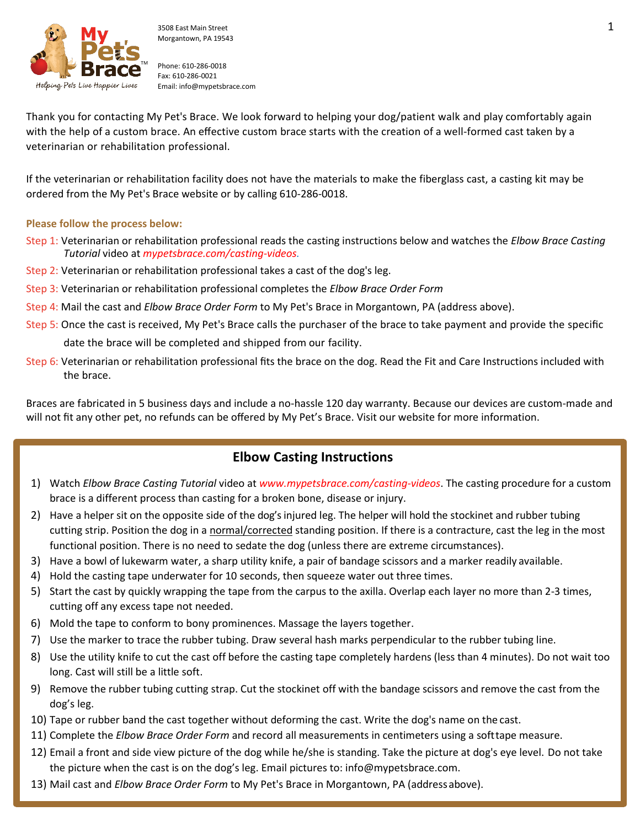

Phone: 610-286-0018 Fax: 610-286-0021 Email[: info@mypetsbrace.com](mailto:info@mypetsbrace.com)

Thank you for contacting My Pet's Brace. We look forward to helping your dog/patient walk and play comfortably again with the help of a custom brace. An effective custom brace starts with the creation of a well-formed cast taken by a veterinarian or rehabilitation professional.

If the veterinarian or rehabilitation facility does not have the materials to make the fiberglass cast, a casting kit may be ordered from the My Pet's Brace website or by calling 610-286-0018.

## **Please follow the process below:**

- Step 1: Veterinarian or rehabilitation professional reads the casting instructions below and watches the *Elbow Brace Casting Tutorial* video at *mypetsbrace.com/casting-videos.*
- Step 2: Veterinarian or rehabilitation professional takes a cast of the dog's leg.
- Step 3: Veterinarian or rehabilitation professional completes the *Elbow Brace Order Form*
- Step 4: Mail the cast and *Elbow Brace Order Form* to My Pet's Brace in Morgantown, PA (address above).
- Step 5: Once the cast is received, My Pet's Brace calls the purchaser of the brace to take payment and provide the specific

date the brace will be completed and shipped from our facility.

Step 6: Veterinarian or rehabilitation professional fits the brace on the dog. Read the Fit and Care Instructions included with the brace.

Braces are fabricated in 5 business days and include a no-hassle 120 day warranty. Because our devices are custom-made and will not fit any other pet, no refunds can be offered by My Pet's Brace. Visit our website for more information.

## **Elbow Casting Instructions**

- 1) Watch *Elbow Brace Casting Tutorial* video at *www.mypetsbrace.com/casting-videos*. The casting procedure for a custom brace is a different process than casting for a broken bone, disease or injury.
- 2) Have a helper sit on the opposite side of the dog's injured leg. The helper will hold the stockinet and rubber tubing cutting strip. Position the dog in a normal/corrected standing position. If there is a contracture, cast the leg in the most functional position. There is no need to sedate the dog (unless there are extreme circumstances).
- 3) Have a bowl of lukewarm water, a sharp utility knife, a pair of bandage scissors and a marker readily available.
- 4) Hold the casting tape underwater for 10 seconds, then squeeze water out three times.
- 5) Start the cast by quickly wrapping the tape from the carpus to the axilla. Overlap each layer no more than 2-3 times, cutting off any excess tape not needed.
- 6) Mold the tape to conform to bony prominences. Massage the layers together.
- 7) Use the marker to trace the rubber tubing. Draw several hash marks perpendicular to the rubber tubing line.
- 8) Use the utility knife to cut the cast off before the casting tape completely hardens (less than 4 minutes). Do not wait too long. Cast will still be a little soft.
- 9) Remove the rubber tubing cutting strap. Cut the stockinet off with the bandage scissors and remove the cast from the dog's leg.
- 10) Tape or rubber band the cast together without deforming the cast. Write the dog's name on the cast.
- 11) Complete the *Elbow Brace Order Form* and record all measurements in centimeters using a softtape measure.
- 12) Email a front and side view picture of the dog while he/she is standing. Take the picture at dog's eye level. Do not take the picture when the cast is on the dog's leg. Email pictures to: info@mypetsbrace.com.
- 13) Mail cast and *Elbow Brace Order Form* to My Pet's Brace in Morgantown, PA (addressabove).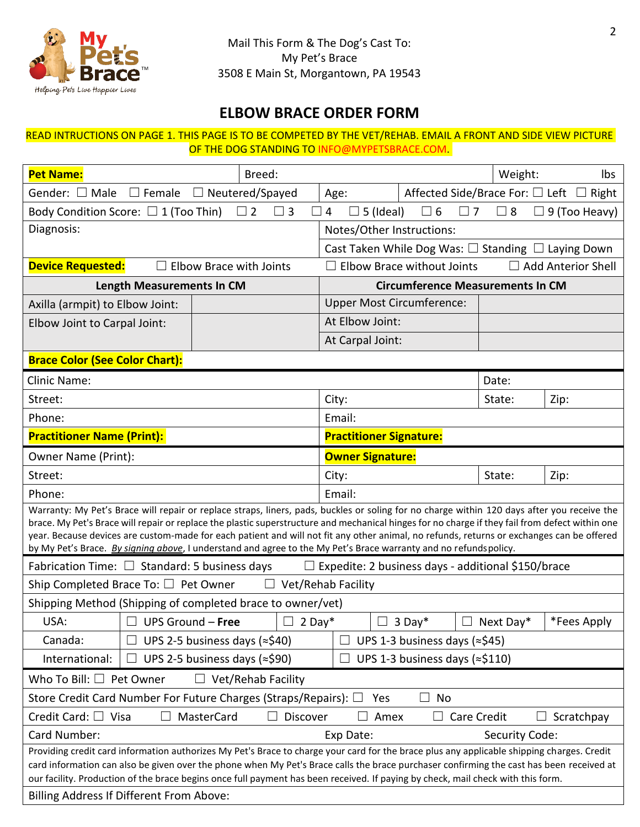

## **ELBOW BRACE ORDER FORM**

## READ INTRUCTIONS ON PAGE 1. THIS PAGE IS TO BE COMPETED BY THE VET/REHAB. EMAIL A FRONT AND SIDE VIEW PICTURE OF THE DOG STANDING TO INFO@MYPETSBRACE.COM.

| <b>Pet Name:</b>                                                                                                                                                                                                                                                                             | Breed:                                                          |                                                                                                |                                                                    | Weight:   | lbs          |
|----------------------------------------------------------------------------------------------------------------------------------------------------------------------------------------------------------------------------------------------------------------------------------------------|-----------------------------------------------------------------|------------------------------------------------------------------------------------------------|--------------------------------------------------------------------|-----------|--------------|
| $\Box$ Female<br>Gender: $\Box$ Male<br>$\Box$ Neutered/Spayed                                                                                                                                                                                                                               |                                                                 | Affected Side/Brace For: □ Left<br>Age:                                                        |                                                                    |           | $\Box$ Right |
| Body Condition Score: $\Box$ 1 (Too Thin)<br>$\square$ 2<br>$\Box$ 3<br>$\Box$                                                                                                                                                                                                               |                                                                 | $\overline{4}$<br>$\Box$ 6<br>$\Box$ 8<br>$\Box$ 5 (Ideal)<br>$\Box$ 7<br>$\Box$ 9 (Too Heavy) |                                                                    |           |              |
| Diagnosis:                                                                                                                                                                                                                                                                                   |                                                                 | Notes/Other Instructions:                                                                      |                                                                    |           |              |
|                                                                                                                                                                                                                                                                                              |                                                                 |                                                                                                | Cast Taken While Dog Was: $\square$ Standing $\square$ Laying Down |           |              |
| <b>Device Requested:</b><br><b>Elbow Brace with Joints</b>                                                                                                                                                                                                                                   |                                                                 | □ Add Anterior Shell<br>Elbow Brace without Joints                                             |                                                                    |           |              |
| <b>Length Measurements In CM</b>                                                                                                                                                                                                                                                             |                                                                 | <b>Circumference Measurements In CM</b>                                                        |                                                                    |           |              |
| Axilla (armpit) to Elbow Joint:                                                                                                                                                                                                                                                              |                                                                 | <b>Upper Most Circumference:</b>                                                               |                                                                    |           |              |
| Elbow Joint to Carpal Joint:                                                                                                                                                                                                                                                                 |                                                                 | At Elbow Joint:                                                                                |                                                                    |           |              |
|                                                                                                                                                                                                                                                                                              |                                                                 | At Carpal Joint:                                                                               |                                                                    |           |              |
| <b>Brace Color (See Color Chart):</b>                                                                                                                                                                                                                                                        |                                                                 |                                                                                                |                                                                    |           |              |
| <b>Clinic Name:</b>                                                                                                                                                                                                                                                                          |                                                                 |                                                                                                |                                                                    | Date:     |              |
| Street:                                                                                                                                                                                                                                                                                      |                                                                 | City:                                                                                          |                                                                    | State:    | Zip:         |
| Phone:                                                                                                                                                                                                                                                                                       |                                                                 | Email:                                                                                         |                                                                    |           |              |
| <b>Practitioner Name (Print):</b>                                                                                                                                                                                                                                                            |                                                                 | <b>Practitioner Signature:</b>                                                                 |                                                                    |           |              |
| Owner Name (Print):                                                                                                                                                                                                                                                                          |                                                                 | <b>Owner Signature:</b>                                                                        |                                                                    |           |              |
| Street:                                                                                                                                                                                                                                                                                      |                                                                 | City:                                                                                          |                                                                    | State:    | Zip:         |
| Phone:                                                                                                                                                                                                                                                                                       |                                                                 | Email:                                                                                         |                                                                    |           |              |
| Warranty: My Pet's Brace will repair or replace straps, liners, pads, buckles or soling for no charge within 120 days after you receive the                                                                                                                                                  |                                                                 |                                                                                                |                                                                    |           |              |
| brace. My Pet's Brace will repair or replace the plastic superstructure and mechanical hinges for no charge if they fail from defect within one<br>year. Because devices are custom-made for each patient and will not fit any other animal, no refunds, returns or exchanges can be offered |                                                                 |                                                                                                |                                                                    |           |              |
| by My Pet's Brace. By signing above, I understand and agree to the My Pet's Brace warranty and no refundspolicy.                                                                                                                                                                             |                                                                 |                                                                                                |                                                                    |           |              |
| Fabrication Time: $\Box$ Standard: 5 business days<br>Expedite: 2 business days - additional \$150/brace<br>$\Box$                                                                                                                                                                           |                                                                 |                                                                                                |                                                                    |           |              |
| Ship Completed Brace To: $\Box$ Pet Owner<br>Vet/Rehab Facility<br>$\perp$                                                                                                                                                                                                                   |                                                                 |                                                                                                |                                                                    |           |              |
| Shipping Method (Shipping of completed brace to owner/vet)                                                                                                                                                                                                                                   |                                                                 |                                                                                                |                                                                    |           |              |
| USA:<br>UPS Ground - Free<br>$\Box$                                                                                                                                                                                                                                                          | $2$ Day*<br>$\Box$                                              |                                                                                                | $3$ Day*                                                           | Next Day* | *Fees Apply  |
| Canada:                                                                                                                                                                                                                                                                                      | UPS 1-3 business days (≈\$45)<br>UPS 2-5 business days (≈\$40)  |                                                                                                |                                                                    |           |              |
| International:                                                                                                                                                                                                                                                                               | UPS 2-5 business days (≈\$90)<br>UPS 1-3 business days (≈\$110) |                                                                                                |                                                                    |           |              |
| Who To Bill: $\Box$ Pet Owner<br>Vet/Rehab Facility                                                                                                                                                                                                                                          |                                                                 |                                                                                                |                                                                    |           |              |
| Store Credit Card Number For Future Charges (Straps/Repairs): □<br>No<br>Yes                                                                                                                                                                                                                 |                                                                 |                                                                                                |                                                                    |           |              |
| Credit Card: $\Box$ Visa<br>MasterCard<br>Discover<br>Care Credit<br>Amex<br>Scratchpay<br>$\mathsf{L}$                                                                                                                                                                                      |                                                                 |                                                                                                |                                                                    |           |              |
| Card Number:<br>Exp Date:<br>Security Code:                                                                                                                                                                                                                                                  |                                                                 |                                                                                                |                                                                    |           |              |
| Providing credit card information authorizes My Pet's Brace to charge your card for the brace plus any applicable shipping charges. Credit<br>card information can also be given over the phone when My Pet's Brace calls the brace purchaser confirming the cast has been received at       |                                                                 |                                                                                                |                                                                    |           |              |
| our facility. Production of the brace begins once full payment has been received. If paying by check, mail check with this form.                                                                                                                                                             |                                                                 |                                                                                                |                                                                    |           |              |
| Billing Address If Different From Above:                                                                                                                                                                                                                                                     |                                                                 |                                                                                                |                                                                    |           |              |